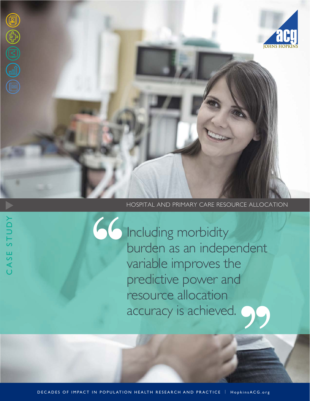

CASE STUDY

CASE STUDY

#### HOSPITAL AND PRIMARY CARE RESOURCE ALLOCATION

Including morbidity burden as an independent variable improves the predictive power and resource allocation accuracy is achieved.